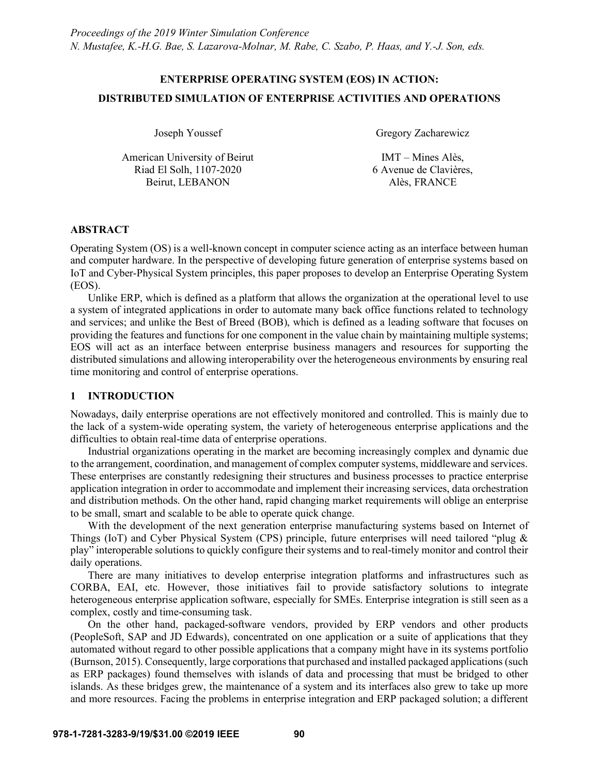# **ENTERPRISE OPERATING SYSTEM (EOS) IN ACTION: DISTRIBUTED SIMULATION OF ENTERPRISE ACTIVITIES AND OPERATIONS**

American University of Beirut Riad El Solh, 1107-2020 Beirut, LEBANON

Joseph Youssef Gregory Zacharewicz

IMT – Mines Alès, 6 Avenue de Clavières, Alès, FRANCE

# **ABSTRACT**

Operating System (OS) is a well-known concept in computer science acting as an interface between human and computer hardware. In the perspective of developing future generation of enterprise systems based on IoT and Cyber-Physical System principles, this paper proposes to develop an Enterprise Operating System (EOS).

Unlike ERP, which is defined as a platform that allows the organization at the operational level to use a system of integrated applications in order to automate many back office functions related to technology and services; and unlike the Best of Breed (BOB), which is defined as a leading software that focuses on providing the features and functions for one component in the value chain by maintaining multiple systems; EOS will act as an interface between enterprise business managers and resources for supporting the distributed simulations and allowing interoperability over the heterogeneous environments by ensuring real time monitoring and control of enterprise operations.

# **1 INTRODUCTION**

Nowadays, daily enterprise operations are not effectively monitored and controlled. This is mainly due to the lack of a system-wide operating system, the variety of heterogeneous enterprise applications and the difficulties to obtain real-time data of enterprise operations.

Industrial organizations operating in the market are becoming increasingly complex and dynamic due to the arrangement, coordination, and management of complex computer systems, middleware and services. These enterprises are constantly redesigning their structures and business processes to practice enterprise application integration in order to accommodate and implement their increasing services, data orchestration and distribution methods. On the other hand, rapid changing market requirements will oblige an enterprise to be small, smart and scalable to be able to operate quick change.

With the development of the next generation enterprise manufacturing systems based on Internet of Things (IoT) and Cyber Physical System (CPS) principle, future enterprises will need tailored "plug & play" interoperable solutions to quickly configure their systems and to real-timely monitor and control their daily operations.

There are many initiatives to develop enterprise integration platforms and infrastructures such as CORBA, EAI, etc. However, those initiatives fail to provide satisfactory solutions to integrate heterogeneous enterprise application software, especially for SMEs. Enterprise integration is still seen as a complex, costly and time-consuming task.

On the other hand, packaged-software vendors, provided by ERP vendors and other products (PeopleSoft, SAP and JD Edwards), concentrated on one application or a suite of applications that they automated without regard to other possible applications that a company might have in its systems portfolio (Burnson, 2015). Consequently, large corporations that purchased and installed packaged applications (such as ERP packages) found themselves with islands of data and processing that must be bridged to other islands. As these bridges grew, the maintenance of a system and its interfaces also grew to take up more and more resources. Facing the problems in enterprise integration and ERP packaged solution; a different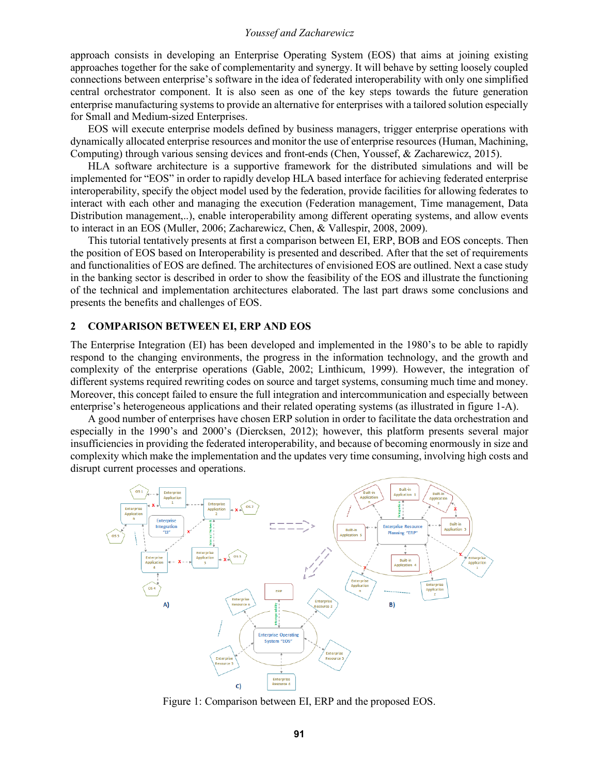approach consists in developing an Enterprise Operating System (EOS) that aims at joining existing approaches together for the sake of complementarity and synergy. It will behave by setting loosely coupled connections between enterprise's software in the idea of federated interoperability with only one simplified central orchestrator component. It is also seen as one of the key steps towards the future generation enterprise manufacturing systems to provide an alternative for enterprises with a tailored solution especially for Small and Medium-sized Enterprises.

EOS will execute enterprise models defined by business managers, trigger enterprise operations with dynamically allocated enterprise resources and monitor the use of enterprise resources (Human, Machining, Computing) through various sensing devices and front-ends (Chen, Youssef, & Zacharewicz, 2015).

HLA software architecture is a supportive framework for the distributed simulations and will be implemented for "EOS" in order to rapidly develop HLA based interface for achieving federated enterprise interoperability, specify the object model used by the federation, provide facilities for allowing federates to interact with each other and managing the execution (Federation management, Time management, Data Distribution management,..), enable interoperability among different operating systems, and allow events to interact in an EOS (Muller, 2006; Zacharewicz, Chen, & Vallespir, 2008, 2009).

This tutorial tentatively presents at first a comparison between EI, ERP, BOB and EOS concepts. Then the position of EOS based on Interoperability is presented and described. After that the set of requirements and functionalities of EOS are defined. The architectures of envisioned EOS are outlined. Next a case study in the banking sector is described in order to show the feasibility of the EOS and illustrate the functioning of the technical and implementation architectures elaborated. The last part draws some conclusions and presents the benefits and challenges of EOS.

#### **2 COMPARISON BETWEEN EI, ERP AND EOS**

The Enterprise Integration (EI) has been developed and implemented in the 1980's to be able to rapidly respond to the changing environments, the progress in the information technology, and the growth and complexity of the enterprise operations (Gable, 2002; Linthicum, 1999). However, the integration of different systems required rewriting codes on source and target systems, consuming much time and money. Moreover, this concept failed to ensure the full integration and intercommunication and especially between enterprise's heterogeneous applications and their related operating systems (as illustrated in figure 1-A).

A good number of enterprises have chosen ERP solution in order to facilitate the data orchestration and especially in the 1990's and 2000's (Diercksen, 2012); however, this platform presents several major insufficiencies in providing the federated interoperability, and because of becoming enormously in size and complexity which make the implementation and the updates very time consuming, involving high costs and disrupt current processes and operations.



Figure 1: Comparison between EI, ERP and the proposed EOS.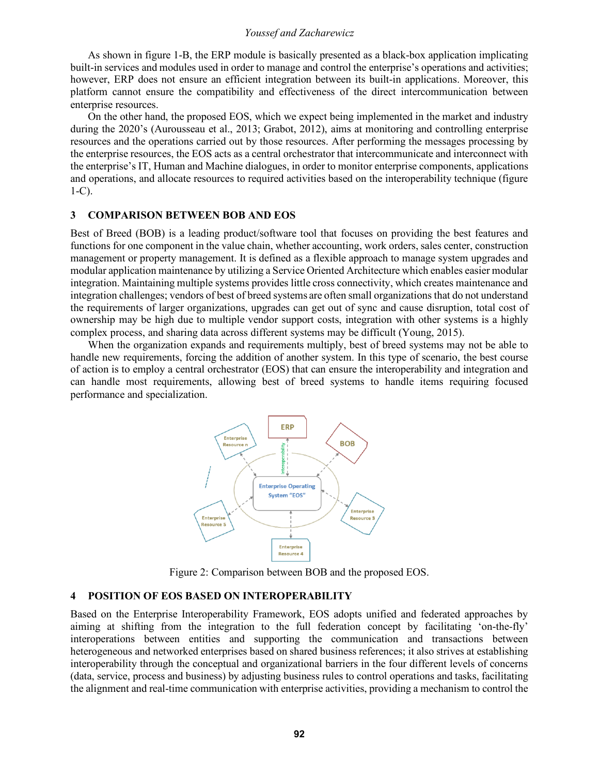As shown in figure 1-B, the ERP module is basically presented as a black-box application implicating built-in services and modules used in order to manage and control the enterprise's operations and activities; however, ERP does not ensure an efficient integration between its built-in applications. Moreover, this platform cannot ensure the compatibility and effectiveness of the direct intercommunication between enterprise resources.

On the other hand, the proposed EOS, which we expect being implemented in the market and industry during the 2020's (Aurousseau et al., 2013; Grabot, 2012), aims at monitoring and controlling enterprise resources and the operations carried out by those resources. After performing the messages processing by the enterprise resources, the EOS acts as a central orchestrator that intercommunicate and interconnect with the enterprise's IT, Human and Machine dialogues, in order to monitor enterprise components, applications and operations, and allocate resources to required activities based on the interoperability technique (figure 1-C).

#### **3 COMPARISON BETWEEN BOB AND EOS**

Best of Breed (BOB) is a leading product/software tool that focuses on providing the best features and functions for one component in the value chain, whether accounting, work orders, sales center, construction management or property management. It is defined as a flexible approach to manage system upgrades and modular application maintenance by utilizing a Service Oriented Architecture which enables easier modular integration. Maintaining multiple systems provides little cross connectivity, which creates maintenance and integration challenges; vendors of best of breed systems are often small organizations that do not understand the requirements of larger organizations, upgrades can get out of sync and cause disruption, total cost of ownership may be high due to multiple vendor support costs, integration with other systems is a highly complex process, and sharing data across different systems may be difficult (Young, 2015).

When the organization expands and requirements multiply, best of breed systems may not be able to handle new requirements, forcing the addition of another system. In this type of scenario, the best course of action is to employ a central orchestrator (EOS) that can ensure the interoperability and integration and can handle most requirements, allowing best of breed systems to handle items requiring focused performance and specialization.



Figure 2: Comparison between BOB and the proposed EOS.

#### **4 POSITION OF EOS BASED ON INTEROPERABILITY**

Based on the Enterprise Interoperability Framework, EOS adopts unified and federated approaches by aiming at shifting from the integration to the full federation concept by facilitating 'on-the-fly' interoperations between entities and supporting the communication and transactions between heterogeneous and networked enterprises based on shared business references; it also strives at establishing interoperability through the conceptual and organizational barriers in the four different levels of concerns (data, service, process and business) by adjusting business rules to control operations and tasks, facilitating the alignment and real-time communication with enterprise activities, providing a mechanism to control the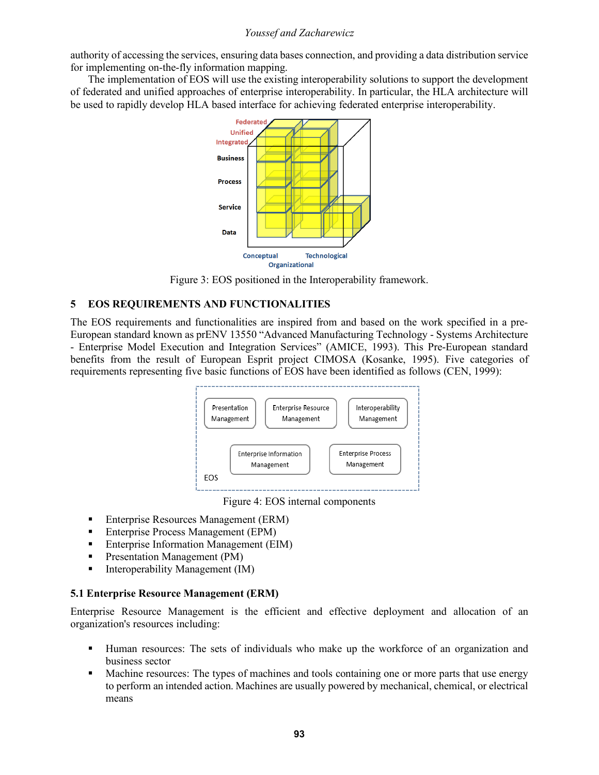authority of accessing the services, ensuring data bases connection, and providing a data distribution service for implementing on-the-fly information mapping.

The implementation of EOS will use the existing interoperability solutions to support the development of federated and unified approaches of enterprise interoperability. In particular, the HLA architecture will be used to rapidly develop HLA based interface for achieving federated enterprise interoperability.



Figure 3: EOS positioned in the Interoperability framework.

# **5 EOS REQUIREMENTS AND FUNCTIONALITIES**

The EOS requirements and functionalities are inspired from and based on the work specified in a pre-European standard known as prENV 13550 "Advanced Manufacturing Technology - Systems Architecture - Enterprise Model Execution and Integration Services" (AMICE, 1993). This Pre-European standard benefits from the result of European Esprit project CIMOSA (Kosanke, 1995). Five categories of requirements representing five basic functions of EOS have been identified as follows (CEN, 1999):



Figure 4: EOS internal components

- § Enterprise Resources Management (ERM)
- Enterprise Process Management (EPM)
- Enterprise Information Management (EIM)
- Presentation Management (PM)
- § Interoperability Management (IM)

## **5.1 Enterprise Resource Management (ERM)**

Enterprise Resource Management is the efficient and effective deployment and allocation of an organization's resources including:

- § Human resources: The sets of individuals who make up the workforce of an organization and business sector
- Machine resources: The types of machines and tools containing one or more parts that use energy to perform an intended action. Machines are usually powered by mechanical, chemical, or electrical means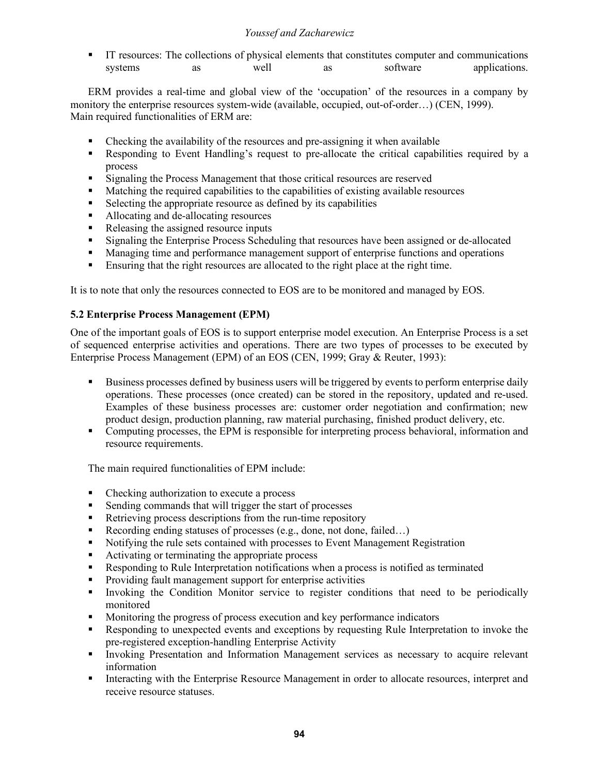§ IT resources: The collections of physical elements that constitutes computer and communications systems as well as software applications.

ERM provides a real-time and global view of the 'occupation' of the resources in a company by monitory the enterprise resources system-wide (available, occupied, out-of-order…) (CEN, 1999). Main required functionalities of ERM are:

- Checking the availability of the resources and pre-assigning it when available
- Responding to Event Handling's request to pre-allocate the critical capabilities required by a process
- Signaling the Process Management that those critical resources are reserved
- Matching the required capabilities to the capabilities of existing available resources
- Selecting the appropriate resource as defined by its capabilities
- Allocating and de-allocating resources
- Releasing the assigned resource inputs
- Signaling the Enterprise Process Scheduling that resources have been assigned or de-allocated
- Managing time and performance management support of enterprise functions and operations
- Ensuring that the right resources are allocated to the right place at the right time.

It is to note that only the resources connected to EOS are to be monitored and managed by EOS.

# **5.2 Enterprise Process Management (EPM)**

One of the important goals of EOS is to support enterprise model execution. An Enterprise Process is a set of sequenced enterprise activities and operations. There are two types of processes to be executed by Enterprise Process Management (EPM) of an EOS (CEN, 1999; Gray & Reuter, 1993):

- § Business processes defined by business users will be triggered by events to perform enterprise daily operations. These processes (once created) can be stored in the repository, updated and re-used. Examples of these business processes are: customer order negotiation and confirmation; new product design, production planning, raw material purchasing, finished product delivery, etc.
- Computing processes, the EPM is responsible for interpreting process behavioral, information and resource requirements.

The main required functionalities of EPM include:

- Checking authorization to execute a process
- Sending commands that will trigger the start of processes
- Retrieving process descriptions from the run-time repository
- Recording ending statuses of processes (e.g., done, not done, failed...)
- Notifying the rule sets contained with processes to Event Management Registration
- Activating or terminating the appropriate process
- § Responding to Rule Interpretation notifications when a process is notified as terminated
- Providing fault management support for enterprise activities
- § Invoking the Condition Monitor service to register conditions that need to be periodically monitored
- § Monitoring the progress of process execution and key performance indicators
- Responding to unexpected events and exceptions by requesting Rule Interpretation to invoke the pre-registered exception-handling Enterprise Activity
- § Invoking Presentation and Information Management services as necessary to acquire relevant information
- Interacting with the Enterprise Resource Management in order to allocate resources, interpret and receive resource statuses.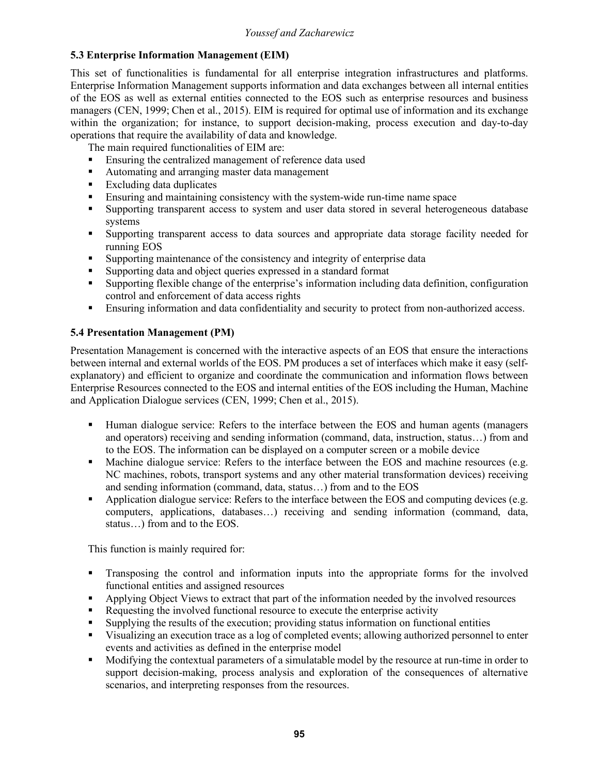# **5.3 Enterprise Information Management (EIM)**

This set of functionalities is fundamental for all enterprise integration infrastructures and platforms. Enterprise Information Management supports information and data exchanges between all internal entities of the EOS as well as external entities connected to the EOS such as enterprise resources and business managers (CEN, 1999; Chen et al., 2015). EIM is required for optimal use of information and its exchange within the organization; for instance, to support decision-making, process execution and day-to-day operations that require the availability of data and knowledge.

The main required functionalities of EIM are:

- Ensuring the centralized management of reference data used
- Automating and arranging master data management
- Excluding data duplicates
- § Ensuring and maintaining consistency with the system-wide run-time name space
- § Supporting transparent access to system and user data stored in several heterogeneous database systems
- § Supporting transparent access to data sources and appropriate data storage facility needed for running EOS
- § Supporting maintenance of the consistency and integrity of enterprise data
- § Supporting data and object queries expressed in a standard format
- § Supporting flexible change of the enterprise's information including data definition, configuration control and enforcement of data access rights
- Ensuring information and data confidentiality and security to protect from non-authorized access.

# **5.4 Presentation Management (PM)**

Presentation Management is concerned with the interactive aspects of an EOS that ensure the interactions between internal and external worlds of the EOS. PM produces a set of interfaces which make it easy (selfexplanatory) and efficient to organize and coordinate the communication and information flows between Enterprise Resources connected to the EOS and internal entities of the EOS including the Human, Machine and Application Dialogue services (CEN, 1999; Chen et al., 2015).

- § Human dialogue service: Refers to the interface between the EOS and human agents (managers and operators) receiving and sending information (command, data, instruction, status…) from and to the EOS. The information can be displayed on a computer screen or a mobile device
- Machine dialogue service: Refers to the interface between the EOS and machine resources (e.g. NC machines, robots, transport systems and any other material transformation devices) receiving and sending information (command, data, status…) from and to the EOS
- Application dialogue service: Refers to the interface between the EOS and computing devices (e.g. computers, applications, databases…) receiving and sending information (command, data, status…) from and to the EOS.

This function is mainly required for:

- Transposing the control and information inputs into the appropriate forms for the involved functional entities and assigned resources
- Applying Object Views to extract that part of the information needed by the involved resources
- Requesting the involved functional resource to execute the enterprise activity
- § Supplying the results of the execution; providing status information on functional entities
- Visualizing an execution trace as a log of completed events; allowing authorized personnel to enter events and activities as defined in the enterprise model
- § Modifying the contextual parameters of a simulatable model by the resource at run-time in order to support decision-making, process analysis and exploration of the consequences of alternative scenarios, and interpreting responses from the resources.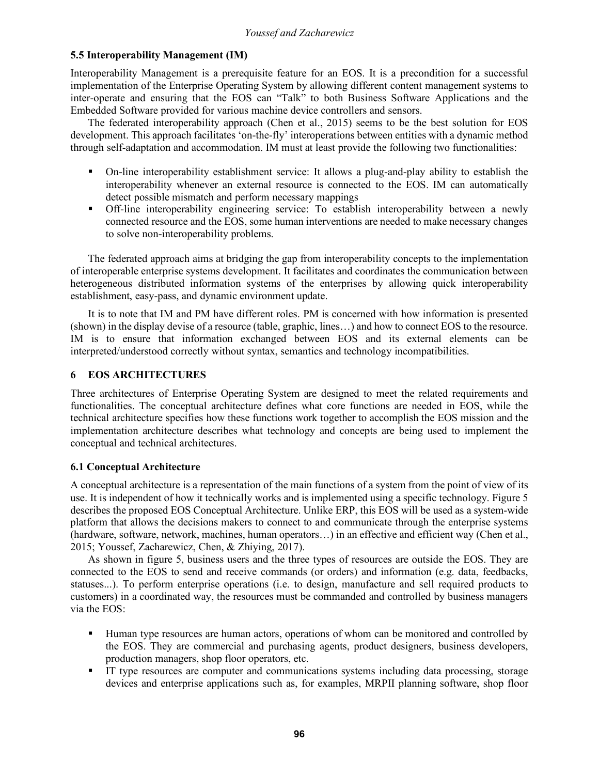# **5.5 Interoperability Management (IM)**

Interoperability Management is a prerequisite feature for an EOS. It is a precondition for a successful implementation of the Enterprise Operating System by allowing different content management systems to inter-operate and ensuring that the EOS can "Talk" to both Business Software Applications and the Embedded Software provided for various machine device controllers and sensors.

The federated interoperability approach (Chen et al., 2015) seems to be the best solution for EOS development. This approach facilitates 'on-the-fly' interoperations between entities with a dynamic method through self-adaptation and accommodation. IM must at least provide the following two functionalities:

- § On-line interoperability establishment service: It allows a plug-and-play ability to establish the interoperability whenever an external resource is connected to the EOS. IM can automatically detect possible mismatch and perform necessary mappings
- § Off-line interoperability engineering service: To establish interoperability between a newly connected resource and the EOS, some human interventions are needed to make necessary changes to solve non-interoperability problems.

The federated approach aims at bridging the gap from interoperability concepts to the implementation of interoperable enterprise systems development. It facilitates and coordinates the communication between heterogeneous distributed information systems of the enterprises by allowing quick interoperability establishment, easy-pass, and dynamic environment update.

It is to note that IM and PM have different roles. PM is concerned with how information is presented (shown) in the display devise of a resource (table, graphic, lines…) and how to connect EOS to the resource. IM is to ensure that information exchanged between EOS and its external elements can be interpreted/understood correctly without syntax, semantics and technology incompatibilities.

# **6 EOS ARCHITECTURES**

Three architectures of Enterprise Operating System are designed to meet the related requirements and functionalities. The conceptual architecture defines what core functions are needed in EOS, while the technical architecture specifies how these functions work together to accomplish the EOS mission and the implementation architecture describes what technology and concepts are being used to implement the conceptual and technical architectures.

## **6.1 Conceptual Architecture**

A conceptual architecture is a representation of the main functions of a system from the point of view of its use. It is independent of how it technically works and is implemented using a specific technology. Figure 5 describes the proposed EOS Conceptual Architecture. Unlike ERP, this EOS will be used as a system-wide platform that allows the decisions makers to connect to and communicate through the enterprise systems (hardware, software, network, machines, human operators…) in an effective and efficient way (Chen et al., 2015; Youssef, Zacharewicz, Chen, & Zhiying, 2017).

As shown in figure 5, business users and the three types of resources are outside the EOS. They are connected to the EOS to send and receive commands (or orders) and information (e.g. data, feedbacks, statuses...). To perform enterprise operations (i.e. to design, manufacture and sell required products to customers) in a coordinated way, the resources must be commanded and controlled by business managers via the EOS:

- § Human type resources are human actors, operations of whom can be monitored and controlled by the EOS. They are commercial and purchasing agents, product designers, business developers, production managers, shop floor operators, etc.
- § IT type resources are computer and communications systems including data processing, storage devices and enterprise applications such as, for examples, MRPII planning software, shop floor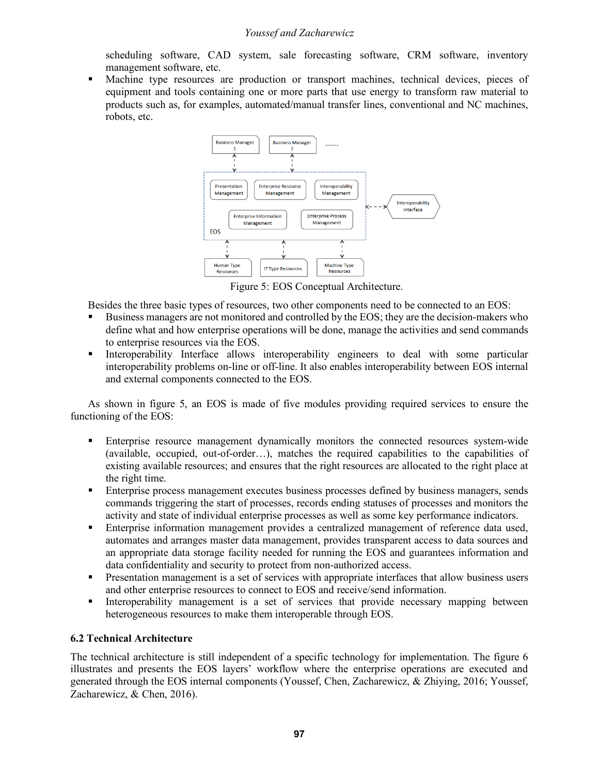scheduling software, CAD system, sale forecasting software, CRM software, inventory management software, etc.

§ Machine type resources are production or transport machines, technical devices, pieces of equipment and tools containing one or more parts that use energy to transform raw material to products such as, for examples, automated/manual transfer lines, conventional and NC machines, robots, etc.



Figure 5: EOS Conceptual Architecture.

Besides the three basic types of resources, two other components need to be connected to an EOS:

- § Business managers are not monitored and controlled by the EOS; they are the decision-makers who define what and how enterprise operations will be done, manage the activities and send commands to enterprise resources via the EOS.
- Interoperability Interface allows interoperability engineers to deal with some particular interoperability problems on-line or off-line. It also enables interoperability between EOS internal and external components connected to the EOS.

As shown in figure 5, an EOS is made of five modules providing required services to ensure the functioning of the EOS:

- Enterprise resource management dynamically monitors the connected resources system-wide (available, occupied, out-of-order…), matches the required capabilities to the capabilities of existing available resources; and ensures that the right resources are allocated to the right place at the right time.
- Enterprise process management executes business processes defined by business managers, sends commands triggering the start of processes, records ending statuses of processes and monitors the activity and state of individual enterprise processes as well as some key performance indicators.
- **•** Enterprise information management provides a centralized management of reference data used, automates and arranges master data management, provides transparent access to data sources and an appropriate data storage facility needed for running the EOS and guarantees information and data confidentiality and security to protect from non-authorized access.
- Presentation management is a set of services with appropriate interfaces that allow business users and other enterprise resources to connect to EOS and receive/send information.
- Interoperability management is a set of services that provide necessary mapping between heterogeneous resources to make them interoperable through EOS.

## **6.2 Technical Architecture**

The technical architecture is still independent of a specific technology for implementation. The figure 6 illustrates and presents the EOS layers' workflow where the enterprise operations are executed and generated through the EOS internal components (Youssef, Chen, Zacharewicz, & Zhiying, 2016; Youssef, Zacharewicz, & Chen, 2016).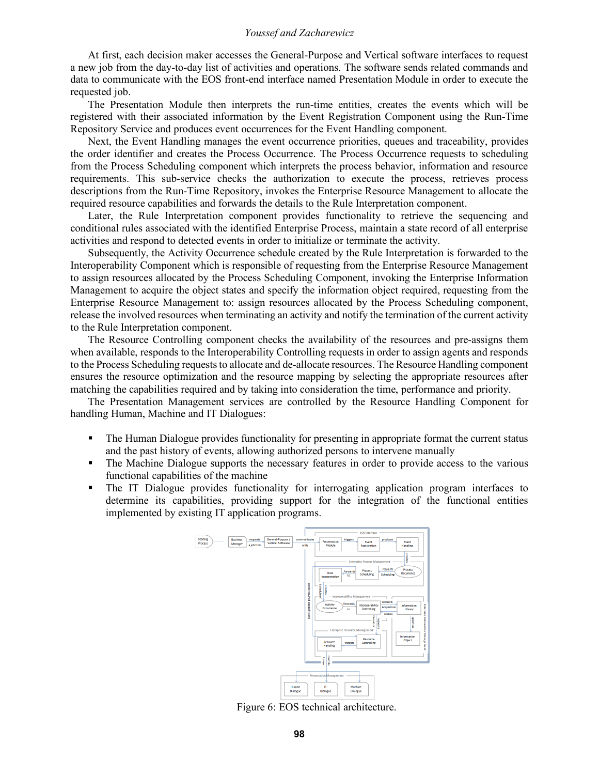At first, each decision maker accesses the General-Purpose and Vertical software interfaces to request a new job from the day-to-day list of activities and operations. The software sends related commands and data to communicate with the EOS front-end interface named Presentation Module in order to execute the requested job.

The Presentation Module then interprets the run-time entities, creates the events which will be registered with their associated information by the Event Registration Component using the Run-Time Repository Service and produces event occurrences for the Event Handling component.

Next, the Event Handling manages the event occurrence priorities, queues and traceability, provides the order identifier and creates the Process Occurrence. The Process Occurrence requests to scheduling from the Process Scheduling component which interprets the process behavior, information and resource requirements. This sub-service checks the authorization to execute the process, retrieves process descriptions from the Run-Time Repository, invokes the Enterprise Resource Management to allocate the required resource capabilities and forwards the details to the Rule Interpretation component.

Later, the Rule Interpretation component provides functionality to retrieve the sequencing and conditional rules associated with the identified Enterprise Process, maintain a state record of all enterprise activities and respond to detected events in order to initialize or terminate the activity.

Subsequently, the Activity Occurrence schedule created by the Rule Interpretation is forwarded to the Interoperability Component which is responsible of requesting from the Enterprise Resource Management to assign resources allocated by the Process Scheduling Component, invoking the Enterprise Information Management to acquire the object states and specify the information object required, requesting from the Enterprise Resource Management to: assign resources allocated by the Process Scheduling component, release the involved resources when terminating an activity and notify the termination of the current activity to the Rule Interpretation component.

The Resource Controlling component checks the availability of the resources and pre-assigns them when available, responds to the Interoperability Controlling requests in order to assign agents and responds to the Process Scheduling requests to allocate and de-allocate resources. The Resource Handling component ensures the resource optimization and the resource mapping by selecting the appropriate resources after matching the capabilities required and by taking into consideration the time, performance and priority.

The Presentation Management services are controlled by the Resource Handling Component for handling Human, Machine and IT Dialogues:

- The Human Dialogue provides functionality for presenting in appropriate format the current status and the past history of events, allowing authorized persons to intervene manually
- The Machine Dialogue supports the necessary features in order to provide access to the various functional capabilities of the machine
- The IT Dialogue provides functionality for interrogating application program interfaces to determine its capabilities, providing support for the integration of the functional entities implemented by existing IT application programs.



Figure 6: EOS technical architecture.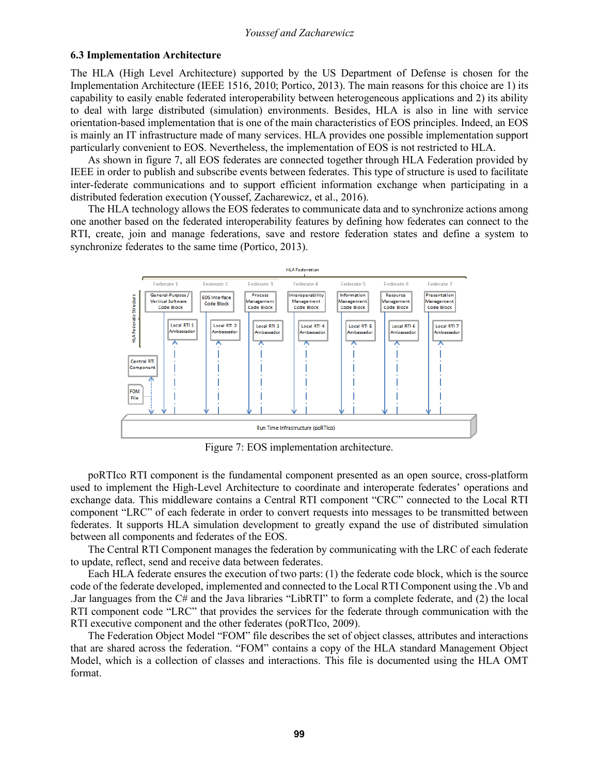#### **6.3 Implementation Architecture**

The HLA (High Level Architecture) supported by the US Department of Defense is chosen for the Implementation Architecture (IEEE 1516, 2010; Portico, 2013). The main reasons for this choice are 1) its capability to easily enable federated interoperability between heterogeneous applications and 2) its ability to deal with large distributed (simulation) environments. Besides, HLA is also in line with service orientation-based implementation that is one of the main characteristics of EOS principles. Indeed, an EOS is mainly an IT infrastructure made of many services. HLA provides one possible implementation support particularly convenient to EOS. Nevertheless, the implementation of EOS is not restricted to HLA.

As shown in figure 7, all EOS federates are connected together through HLA Federation provided by IEEE in order to publish and subscribe events between federates. This type of structure is used to facilitate inter-federate communications and to support efficient information exchange when participating in a distributed federation execution (Youssef, Zacharewicz, et al., 2016).

The HLA technology allows the EOS federates to communicate data and to synchronize actions among one another based on the federated interoperability features by defining how federates can connect to the RTI, create, join and manage federations, save and restore federation states and define a system to synchronize federates to the same time (Portico, 2013).



Figure 7: EOS implementation architecture.

poRTIco RTI component is the fundamental component presented as an open source, cross-platform used to implement the High-Level Architecture to coordinate and interoperate federates' operations and exchange data. This middleware contains a Central RTI component "CRC" connected to the Local RTI component "LRC" of each federate in order to convert requests into messages to be transmitted between federates. It supports HLA simulation development to greatly expand the use of distributed simulation between all components and federates of the EOS.

The Central RTI Component manages the federation by communicating with the LRC of each federate to update, reflect, send and receive data between federates.

Each HLA federate ensures the execution of two parts: (1) the federate code block, which is the source code of the federate developed, implemented and connected to the Local RTI Component using the .Vb and .Jar languages from the C# and the Java libraries "LibRTI" to form a complete federate, and (2) the local RTI component code "LRC" that provides the services for the federate through communication with the RTI executive component and the other federates (poRTIco, 2009).

The Federation Object Model "FOM" file describes the set of object classes, attributes and interactions that are shared across the federation. "FOM" contains a copy of the HLA standard Management Object Model, which is a collection of classes and interactions. This file is documented using the HLA OMT format.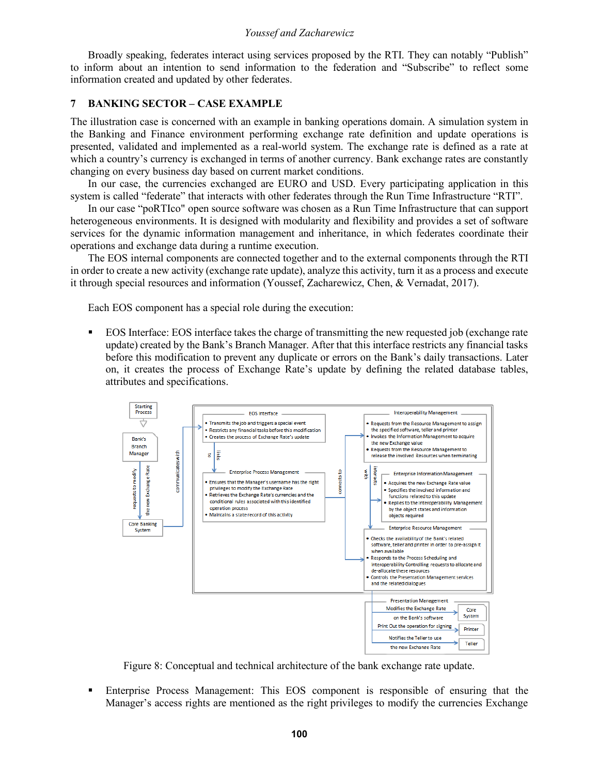Broadly speaking, federates interact using services proposed by the RTI. They can notably "Publish" to inform about an intention to send information to the federation and "Subscribe" to reflect some information created and updated by other federates.

### **7 BANKING SECTOR – CASE EXAMPLE**

The illustration case is concerned with an example in banking operations domain. A simulation system in the Banking and Finance environment performing exchange rate definition and update operations is presented, validated and implemented as a real-world system. The exchange rate is defined as a rate at which a country's currency is exchanged in terms of another currency. Bank exchange rates are constantly changing on every business day based on current market conditions.

In our case, the currencies exchanged are EURO and USD. Every participating application in this system is called "federate" that interacts with other federates through the Run Time Infrastructure "RTI".

In our case "poRTIco" open source software was chosen as a Run Time Infrastructure that can support heterogeneous environments. It is designed with modularity and flexibility and provides a set of software services for the dynamic information management and inheritance, in which federates coordinate their operations and exchange data during a runtime execution.

The EOS internal components are connected together and to the external components through the RTI in order to create a new activity (exchange rate update), analyze this activity, turn it as a process and execute it through special resources and information (Youssef, Zacharewicz, Chen, & Vernadat, 2017).

Each EOS component has a special role during the execution:

§ EOS Interface: EOS interface takes the charge of transmitting the new requested job (exchange rate update) created by the Bank's Branch Manager. After that this interface restricts any financial tasks before this modification to prevent any duplicate or errors on the Bank's daily transactions. Later on, it creates the process of Exchange Rate's update by defining the related database tables, attributes and specifications.



Figure 8: Conceptual and technical architecture of the bank exchange rate update.

§ Enterprise Process Management: This EOS component is responsible of ensuring that the Manager's access rights are mentioned as the right privileges to modify the currencies Exchange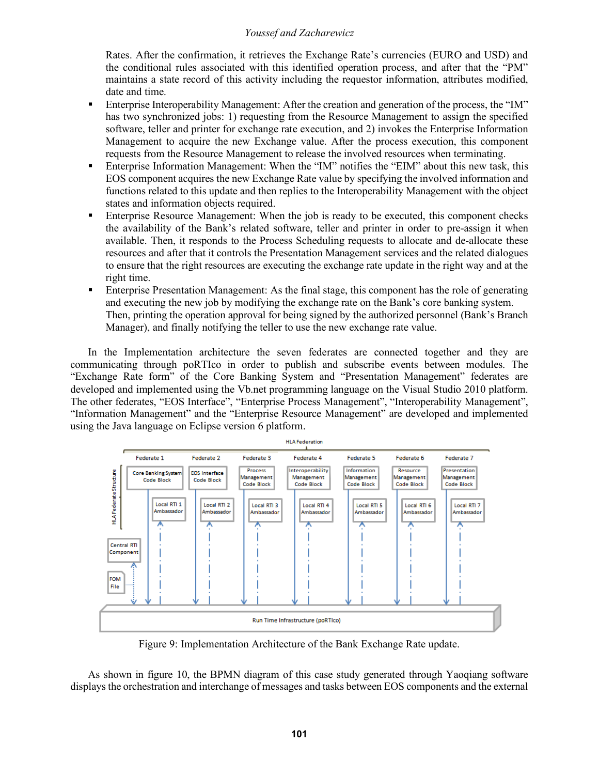Rates. After the confirmation, it retrieves the Exchange Rate's currencies (EURO and USD) and the conditional rules associated with this identified operation process, and after that the "PM" maintains a state record of this activity including the requestor information, attributes modified, date and time.

- Enterprise Interoperability Management: After the creation and generation of the process, the "IM" has two synchronized jobs: 1) requesting from the Resource Management to assign the specified software, teller and printer for exchange rate execution, and 2) invokes the Enterprise Information Management to acquire the new Exchange value. After the process execution, this component requests from the Resource Management to release the involved resources when terminating.
- Enterprise Information Management: When the "IM" notifies the "EIM" about this new task, this EOS component acquires the new Exchange Rate value by specifying the involved information and functions related to this update and then replies to the Interoperability Management with the object states and information objects required.
- Enterprise Resource Management: When the job is ready to be executed, this component checks the availability of the Bank's related software, teller and printer in order to pre-assign it when available. Then, it responds to the Process Scheduling requests to allocate and de-allocate these resources and after that it controls the Presentation Management services and the related dialogues to ensure that the right resources are executing the exchange rate update in the right way and at the right time.
- Enterprise Presentation Management: As the final stage, this component has the role of generating and executing the new job by modifying the exchange rate on the Bank's core banking system. Then, printing the operation approval for being signed by the authorized personnel (Bank's Branch Manager), and finally notifying the teller to use the new exchange rate value.

In the Implementation architecture the seven federates are connected together and they are communicating through poRTIco in order to publish and subscribe events between modules. The "Exchange Rate form" of the Core Banking System and "Presentation Management" federates are developed and implemented using the Vb.net programming language on the Visual Studio 2010 platform. The other federates, "EOS Interface", "Enterprise Process Management", "Interoperability Management", "Information Management" and the "Enterprise Resource Management" are developed and implemented using the Java language on Eclipse version 6 platform.



Figure 9: Implementation Architecture of the Bank Exchange Rate update.

As shown in figure 10, the BPMN diagram of this case study generated through Yaoqiang software displays the orchestration and interchange of messages and tasks between EOS components and the external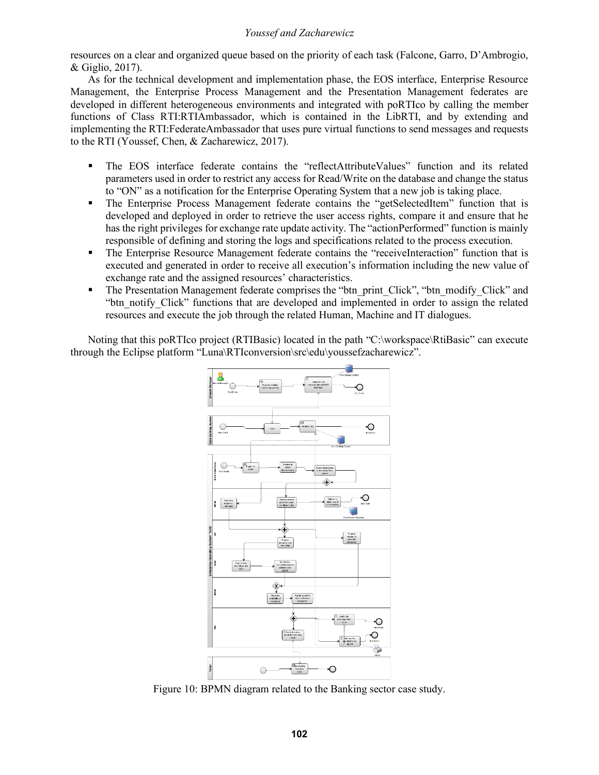resources on a clear and organized queue based on the priority of each task (Falcone, Garro, D'Ambrogio, & Giglio, 2017).

As for the technical development and implementation phase, the EOS interface, Enterprise Resource Management, the Enterprise Process Management and the Presentation Management federates are developed in different heterogeneous environments and integrated with poRTIco by calling the member functions of Class RTI:RTIAmbassador, which is contained in the LibRTI, and by extending and implementing the RTI:FederateAmbassador that uses pure virtual functions to send messages and requests to the RTI (Youssef, Chen, & Zacharewicz, 2017).

- § The EOS interface federate contains the "reflectAttributeValues" function and its related parameters used in order to restrict any access for Read/Write on the database and change the status to "ON" as a notification for the Enterprise Operating System that a new job is taking place.
- The Enterprise Process Management federate contains the "getSelectedItem" function that is developed and deployed in order to retrieve the user access rights, compare it and ensure that he has the right privileges for exchange rate update activity. The "actionPerformed" function is mainly responsible of defining and storing the logs and specifications related to the process execution.
- The Enterprise Resource Management federate contains the "receiveInteraction" function that is executed and generated in order to receive all execution's information including the new value of exchange rate and the assigned resources' characteristics.
- The Presentation Management federate comprises the "btn\_print\_Click", "btn\_modify\_Click" and "btn\_notify\_Click" functions that are developed and implemented in order to assign the related resources and execute the job through the related Human, Machine and IT dialogues.

Noting that this poRTIco project (RTIBasic) located in the path "C:\workspace\RtiBasic" can execute through the Eclipse platform "Luna\RTIconversion\src\edu\youssefzacharewicz".



Figure 10: BPMN diagram related to the Banking sector case study.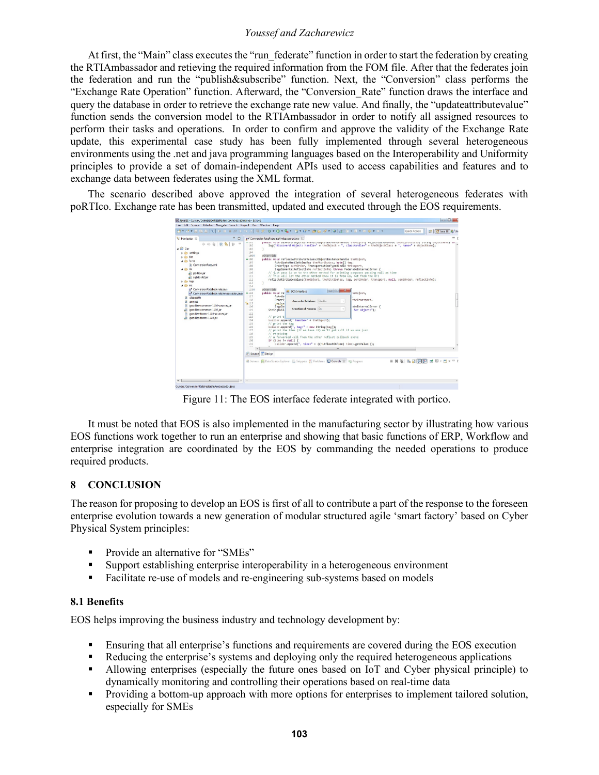At first, the "Main" class executes the "run federate" function in order to start the federation by creating the RTIAmbassador and retieving the required information from the FOM file. After that the federates join the federation and run the "publish&subscribe" function. Next, the "Conversion" class performs the "Exchange Rate Operation" function. Afterward, the "Conversion\_Rate" function draws the interface and query the database in order to retrieve the exchange rate new value. And finally, the "updateattributevalue" function sends the conversion model to the RTIAmbassador in order to notify all assigned resources to perform their tasks and operations. In order to confirm and approve the validity of the Exchange Rate update, this experimental case study has been fully implemented through several heterogeneous environments using the .net and java programming languages based on the Interoperability and Uniformity principles to provide a set of domain-independent APIs used to access capabilities and features and to exchange data between federates using the XML format.

The scenario described above approved the integration of several heterogeneous federates with poRTIco. Exchange rate has been transmitted, updated and executed through the EOS requirements.



Figure 11: The EOS interface federate integrated with portico.

It must be noted that EOS is also implemented in the manufacturing sector by illustrating how various EOS functions work together to run an enterprise and showing that basic functions of ERP, Workflow and enterprise integration are coordinated by the EOS by commanding the needed operations to produce required products.

## **8 CONCLUSION**

The reason for proposing to develop an EOS is first of all to contribute a part of the response to the foreseen enterprise evolution towards a new generation of modular structured agile 'smart factory' based on Cyber Physical System principles:

- § Provide an alternative for "SMEs"
- § Support establishing enterprise interoperability in a heterogeneous environment
- Facilitate re-use of models and re-engineering sub-systems based on models

#### **8.1 Benefits**

EOS helps improving the business industry and technology development by:

- § Ensuring that all enterprise's functions and requirements are covered during the EOS execution
- Reducing the enterprise's systems and deploying only the required heterogeneous applications
- § Allowing enterprises (especially the future ones based on IoT and Cyber physical principle) to dynamically monitoring and controlling their operations based on real-time data
- Providing a bottom-up approach with more options for enterprises to implement tailored solution, especially for SMEs